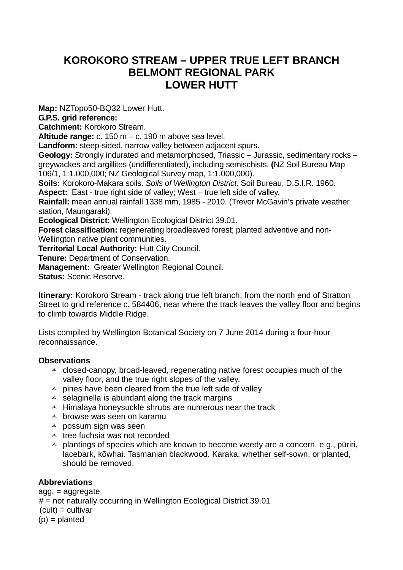# **KOROKORO STREAM – UPPER TRUE LEFT BRANCH BELMONT REGIONAL PARK LOWER HUTT**

**Map:** NZTopo50-BQ32 Lower Hutt.

**G.P.S. grid reference:** 

**Catchment:** Korokoro Stream.

**Altitude range:** c. 150 m – c. 190 m above sea level.

**Landform:** steep-sided, narrow valley between adjacent spurs.

**Geology:** Strongly indurated and metamorphosed, Triassic – Jurassic, sedimentary rocks – greywackes and argillites (undifferentiated), including semischists. **(**NZ Soil Bureau Map 106/1, 1:1.000,000; NZ Geological Survey map, 1:1.000,000).

**Soils:** Korokoro-Makara soils. Soils of Wellington District. Soil Bureau, D.S.I.R. 1960.

**Aspect:** East - true right side of valley; West – true left side of valley.

**Rainfall:** mean annual rainfall 1338 mm, 1985 - 2010. (Trevor McGavin's private weather station, Maungaraki).

**Ecological District:** Wellington Ecological District 39.01.

**Forest classification:** regenerating broadleaved forest; planted adventive and non-Wellington native plant communities.

**Territorial Local Authority:** Hutt City Council.

**Tenure:** Department of Conservation.

**Management:** Greater Wellington Regional Council.

**Status:** Scenic Reserve.

**Itinerary:** Korokoro Stream - track along true left branch, from the north end of Stratton Street to grid reference c. 584406, near where the track leaves the valley floor and begins to climb towards Middle Ridge.

Lists compiled by Wellington Botanical Society on 7 June 2014 during a four-hour reconnaissance.

### **Observations**

- $\triangle$  closed-canopy, broad-leaved, regenerating native forest occupies much of the valley floor, and the true right slopes of the valley.
- $\triangle$  pines have been cleared from the true left side of valley
- $\triangle$  selaginella is abundant along the track margins
- $\triangle$  Himalaya honeysuckle shrubs are numerous near the track
- $\triangle$  browse was seen on karamu
- $\triangle$  possum sign was seen
- $\triangle$  tree fuchsia was not recorded
- $\triangle$  plantings of species which are known to become weedy are a concern, e.g., pūriri, lacebark, kōwhai. Tasmanian blackwood. Karaka, whether self-sown, or planted, should be removed.

### **Abbreviations**

agg. = aggregate # = not naturally occurring in Wellington Ecological District 39.01  $(cult) = cultivar$  $(p)$  = planted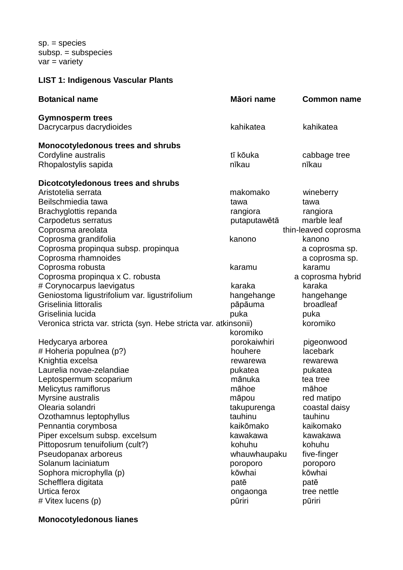sp. = species subsp. = subspecies  $var = variety$ 

# **LIST 1: Indigenous Vascular Plants**

| <b>Botanical name</b>                                             | Māori name   | <b>Common name</b>   |
|-------------------------------------------------------------------|--------------|----------------------|
| <b>Gymnosperm trees</b><br>Dacrycarpus dacrydioides               | kahikatea    | kahikatea            |
| Monocotyledonous trees and shrubs                                 |              |                      |
| Cordyline australis                                               | tī kōuka     | cabbage tree         |
| Rhopalostylis sapida                                              | nīkau        | nīkau                |
| <b>Dicotcotyledonous trees and shrubs</b>                         |              |                      |
| Aristotelia serrata                                               | makomako     | wineberry            |
| Beilschmiedia tawa                                                | tawa         | tawa                 |
| Brachyglottis repanda                                             | rangiora     | rangiora             |
| Carpodetus serratus                                               | putaputawētā | marble leaf          |
| Coprosma areolata                                                 |              | thin-leaved coprosma |
| Coprosma grandifolia                                              | kanono       | kanono               |
| Coprosma propinqua subsp. propinqua                               |              | a coprosma sp.       |
| Coprosma rhamnoides                                               |              | a coprosma sp.       |
| Coprosma robusta                                                  | karamu       | karamu               |
| Coprosma propinqua x C. robusta                                   |              | a coprosma hybrid    |
| # Corynocarpus laevigatus                                         | karaka       | karaka               |
| Geniostoma ligustrifolium var. ligustrifolium                     | hangehange   | hangehange           |
| Griselinia littoralis                                             | pāpāuma      | broadleaf            |
| Griselinia lucida                                                 | puka         | puka                 |
| Veronica stricta var. stricta (syn. Hebe stricta var. atkinsonii) |              | koromiko             |
|                                                                   | koromiko     |                      |
| Hedycarya arborea                                                 | porokaiwhiri | pigeonwood           |
| # Hoheria populnea (p?)                                           | houhere      | lacebark             |
| Knightia excelsa                                                  | rewarewa     | rewarewa             |
| Laurelia novae-zelandiae                                          | pukatea      | pukatea              |
| Leptospermum scoparium                                            | mānuka       | tea tree             |
| Melicytus ramiflorus                                              | māhoe        | māhoe                |
| Myrsine australis                                                 | māpou        | red matipo           |
| Olearia solandri                                                  | takupurenga  | coastal daisy        |
| Ozothamnus leptophyllus                                           | tauhinu      | tauhinu              |
| Pennantia corymbosa                                               | kaikōmako    | kaikomako            |
| Piper excelsum subsp. excelsum                                    | kawakawa     | kawakawa             |
| Pittoposrum tenuifolium (cult?)                                   | kohuhu       | kohuhu               |
| Pseudopanax arboreus                                              | whauwhaupaku | five-finger          |
| Solanum laciniatum                                                | poroporo     | poroporo             |
| Sophora microphylla (p)                                           | kōwhai       | kōwhai               |
| Schefflera digitata                                               | patē         | patē                 |
| Urtica ferox                                                      | ongaonga     | tree nettle          |
| # Vitex lucens (p)                                                | pūriri       | pūriri               |

# **Monocotyledonous lianes**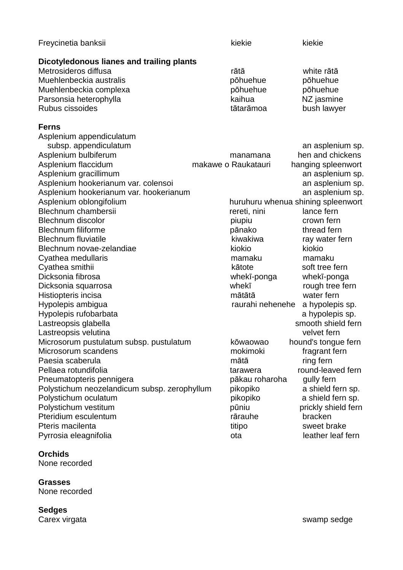| Freycinetia banksii                                                                                                                                                                                                                                                                                                                                                                                                                                                                                                                                                                                       | kiekie                                                                                                                                                              | kiekie                                                                                                                                                                                                                                                                                                                                                                                     |
|-----------------------------------------------------------------------------------------------------------------------------------------------------------------------------------------------------------------------------------------------------------------------------------------------------------------------------------------------------------------------------------------------------------------------------------------------------------------------------------------------------------------------------------------------------------------------------------------------------------|---------------------------------------------------------------------------------------------------------------------------------------------------------------------|--------------------------------------------------------------------------------------------------------------------------------------------------------------------------------------------------------------------------------------------------------------------------------------------------------------------------------------------------------------------------------------------|
| Dicotyledonous lianes and trailing plants<br>Metrosideros diffusa<br>Muehlenbeckia australis<br>Muehlenbeckia complexa<br>Parsonsia heterophylla<br>Rubus cissoides                                                                                                                                                                                                                                                                                                                                                                                                                                       | rātā<br>pōhuehue<br>pōhuehue<br>kaihua<br>tātarāmoa                                                                                                                 | white rātā<br>pōhuehue<br>pōhuehue<br>NZ jasmine<br>bush lawyer                                                                                                                                                                                                                                                                                                                            |
| <b>Ferns</b><br>Asplenium appendiculatum<br>subsp. appendiculatum<br>Asplenium bulbiferum<br>Asplenium flaccidum<br>Asplenium gracillimum<br>Asplenium hookerianum var. colensoi<br>Asplenium hookerianum var. hookerianum<br>Asplenium oblongifolium<br>Blechnum chambersii<br><b>Blechnum discolor</b><br><b>Blechnum filiforme</b><br><b>Blechnum fluviatile</b><br>Blechnum novae-zelandiae<br>Cyathea medullaris<br>Cyathea smithii<br>Dicksonia fibrosa<br>Dicksonia squarrosa<br>Histiopteris incisa<br>Hypolepis ambigua<br>Hypolepis rufobarbata<br>Lastreopsis glabella<br>Lastreopsis velutina | manamana<br>makawe o Raukatauri<br>rereti, nini<br>piupiu<br>pānako<br>kiwakiwa<br>kiokio<br>mamaku<br>kātote<br>whekī-ponga<br>whekī<br>mātātā<br>raurahi nehenehe | an asplenium sp.<br>hen and chickens<br>hanging spleenwort<br>an asplenium sp.<br>an asplenium sp.<br>an asplenium sp.<br>huruhuru whenua shining spleenwort<br>lance fern<br>crown fern<br>thread fern<br>ray water fern<br>kiokio<br>mamaku<br>soft tree fern<br>whekī-ponga<br>rough tree fern<br>water fern<br>a hypolepis sp.<br>a hypolepis sp.<br>smooth shield fern<br>velvet fern |
| Microsorum pustulatum subsp. pustulatum<br>Microsorum scandens<br>Paesia scaberula<br>Pellaea rotundifolia<br>Pneumatopteris pennigera<br>Polystichum neozelandicum subsp. zerophyllum<br>Polystichum oculatum<br>Polystichum vestitum<br>Pteridium esculentum<br>Pteris macilenta<br>Pyrrosia eleagnifolia                                                                                                                                                                                                                                                                                               | kōwaowao<br>mokimoki<br>mātā<br>tarawera<br>pākau roharoha<br>pikopiko<br>pikopiko<br>pūniu<br>rārauhe<br>titipo<br>ota                                             | hound's tongue fern<br>fragrant fern<br>ring fern<br>round-leaved fern<br>gully fern<br>a shield fern sp.<br>a shield fern sp.<br>prickly shield fern<br>bracken<br>sweet brake<br>leather leaf fern                                                                                                                                                                                       |

## **Orchids**

None recorded

## **Grasses**

None recorded

Sedges<br>Carex virgata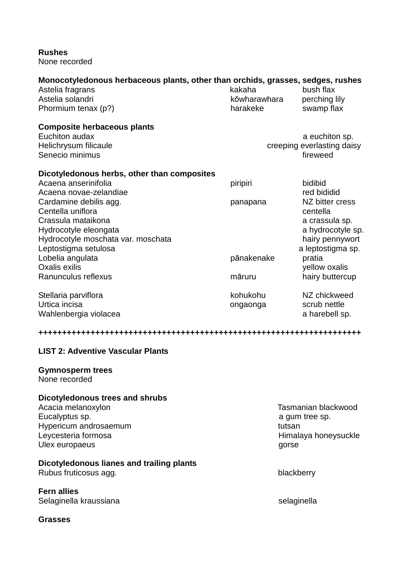**Rushes**

None recorded

| Monocotyledonous herbaceous plants, other than orchids, grasses, sedges, rushes<br>Astelia fragrans<br>Astelia solandri<br>Phormium tenax (p?) | kakaha<br>kōwharawhara<br>harakeke | bush flax<br>perching lily<br>swamp flax                 |
|------------------------------------------------------------------------------------------------------------------------------------------------|------------------------------------|----------------------------------------------------------|
| <b>Composite herbaceous plants</b><br>Euchiton audax<br>Helichrysum filicaule<br>Senecio minimus                                               |                                    | a euchiton sp.<br>creeping everlasting daisy<br>fireweed |
| Dicotyledonous herbs, other than composites                                                                                                    |                                    |                                                          |
| Acaena anserinifolia                                                                                                                           | piripiri                           | bidibid                                                  |
| Acaena novae-zelandiae                                                                                                                         |                                    | red bididid                                              |
| Cardamine debilis agg.                                                                                                                         | panapana                           | NZ bitter cress                                          |
| Centella uniflora                                                                                                                              |                                    | centella                                                 |
| Crassula mataikona                                                                                                                             |                                    | a crassula sp.                                           |
| Hydrocotyle eleongata                                                                                                                          |                                    | a hydrocotyle sp.                                        |
| Hydrocotyle moschata var. moschata                                                                                                             |                                    | hairy pennywort                                          |
| Leptostigma setulosa                                                                                                                           |                                    | a leptostigma sp.                                        |
| Lobelia angulata                                                                                                                               | pānakenake                         | pratia                                                   |
| Oxalis exilis                                                                                                                                  |                                    | yellow oxalis                                            |
| Ranunculus reflexus                                                                                                                            | māruru                             | hairy buttercup                                          |
| Stellaria parviflora                                                                                                                           | kohukohu                           | NZ chickweed                                             |
| Urtica incisa                                                                                                                                  | ongaonga                           | scrub nettle                                             |
| Wahlenbergia violacea                                                                                                                          |                                    | a harebell sp.                                           |
|                                                                                                                                                |                                    |                                                          |

**++++++++++++++++++++++++++++++++++++++++++++++++++++++++++++++++++++** 

### **LIST 2: Adventive Vascular Plants**

## **Gymnosperm trees**

None recorded

## **Dicotyledonous trees and shrubs**

Acacia melanoxylon **Tasmanian blackwood** Eucalyptus sp. **A** gum tree sp. Hypericum androsaemum tutsan tutsan Leycesteria formosa **Exercise Exercise Exercise Serverse Exercise Exercise Advantagement** Himalaya honeysuckle Ulex europaeus gorse

## **Dicotyledonous lianes and trailing plants**

Rubus fruticosus agg. blackberry

**Fern allies** Selaginella kraussiana selaginella selaginella

**Grasses**